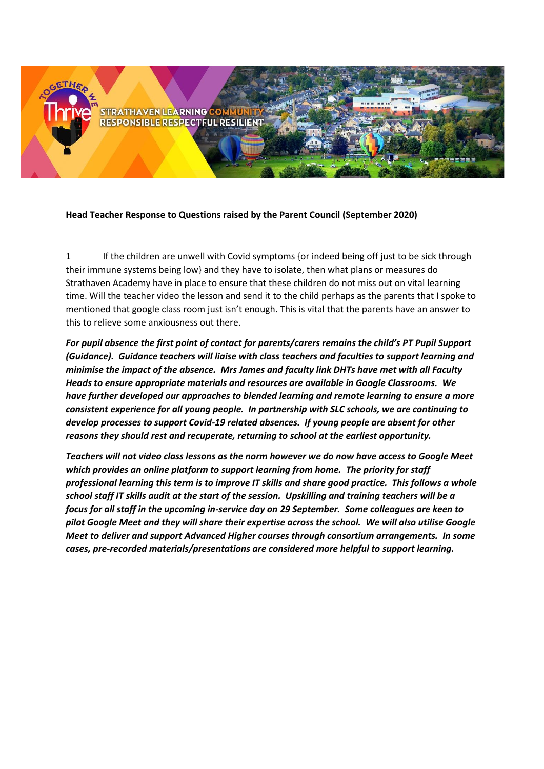

## **Head Teacher Response to Questions raised by the Parent Council (September 2020)**

1 If the children are unwell with Covid symptoms {or indeed being off just to be sick through their immune systems being low} and they have to isolate, then what plans or measures do Strathaven Academy have in place to ensure that these children do not miss out on vital learning time. Will the teacher video the lesson and send it to the child perhaps as the parents that I spoke to mentioned that google class room just isn't enough. This is vital that the parents have an answer to this to relieve some anxiousness out there.

*For pupil absence the first point of contact for parents/carers remains the child's PT Pupil Support (Guidance). Guidance teachers will liaise with class teachers and faculties to support learning and minimise the impact of the absence. Mrs James and faculty link DHTs have met with all Faculty Heads to ensure appropriate materials and resources are available in Google Classrooms. We have further developed our approaches to blended learning and remote learning to ensure a more consistent experience for all young people. In partnership with SLC schools, we are continuing to develop processes to support Covid-19 related absences. If young people are absent for other reasons they should rest and recuperate, returning to school at the earliest opportunity.* 

*Teachers will not video class lessons as the norm however we do now have access to Google Meet which provides an online platform to support learning from home. The priority for staff professional learning this term is to improve IT skills and share good practice. This follows a whole school staff IT skills audit at the start of the session. Upskilling and training teachers will be a focus for all staff in the upcoming in-service day on 29 September. Some colleagues are keen to pilot Google Meet and they will share their expertise across the school. We will also utilise Google Meet to deliver and support Advanced Higher courses through consortium arrangements. In some cases, pre-recorded materials/presentations are considered more helpful to support learning.*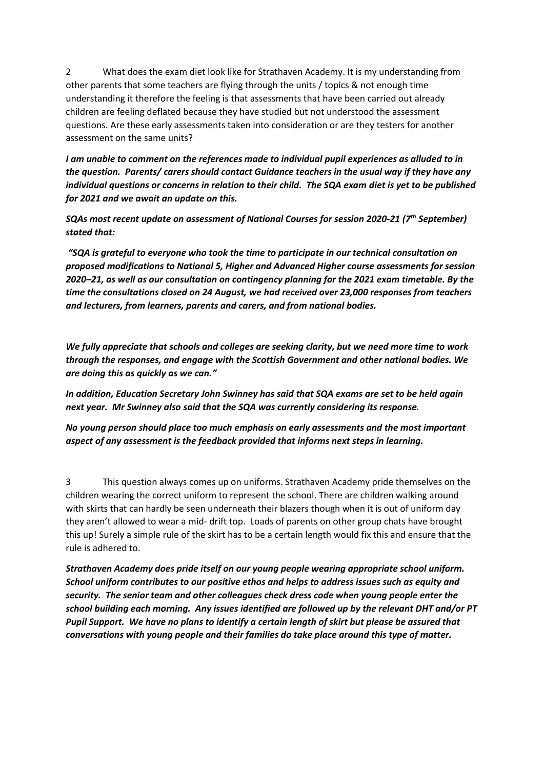2 What does the exam diet look like for Strathaven Academy. It is my understanding from other parents that some teachers are flying through the units / topics & not enough time understanding it therefore the feeling is that assessments that have been carried out already children are feeling deflated because they have studied but not understood the assessment questions. Are these early assessments taken into consideration or are they testers for another assessment on the same units?

*I am unable to comment on the references made to individual pupil experiences as alluded to in the question. Parents/ carers should contact Guidance teachers in the usual way if they have any individual questions or concerns in relation to their child. The SQA exam diet is yet to be published for 2021 and we await an update on this.*

*SQAs most recent update on assessment of National Courses for session 2020-21 (7 th September) stated that:*

*"SQA is grateful to everyone who took the time to participate in our technical consultation on proposed modifications to National 5, Higher and Advanced Higher course assessments for session 2020–21, as well as our consultation on contingency planning for the 2021 exam timetable. By the time the consultations closed on 24 August, we had received over 23,000 responses from teachers and lecturers, from learners, parents and carers, and from national bodies.* 

*We fully appreciate that schools and colleges are seeking clarity, but we need more time to work through the responses, and engage with the Scottish Government and other national bodies. We are doing this as quickly as we can."*

*In addition, Education Secretary John Swinney has said that SQA exams are set to be held again next year. Mr Swinney also said that the SQA was currently considering its response.*

*No young person should place too much emphasis on early assessments and the most important aspect of any assessment is the feedback provided that informs next steps in learning.*

3 This question always comes up on uniforms. Strathaven Academy pride themselves on the children wearing the correct uniform to represent the school. There are children walking around with skirts that can hardly be seen underneath their blazers though when it is out of uniform day they aren't allowed to wear a mid- drift top. Loads of parents on other group chats have brought this up! Surely a simple rule of the skirt has to be a certain length would fix this and ensure that the rule is adhered to.

*Strathaven Academy does pride itself on our young people wearing appropriate school uniform. School uniform contributes to our positive ethos and helps to address issues such as equity and security. The senior team and other colleagues check dress code when young people enter the school building each morning. Any issues identified are followed up by the relevant DHT and/or PT Pupil Support. We have no plans to identify a certain length of skirt but please be assured that conversations with young people and their families do take place around this type of matter.*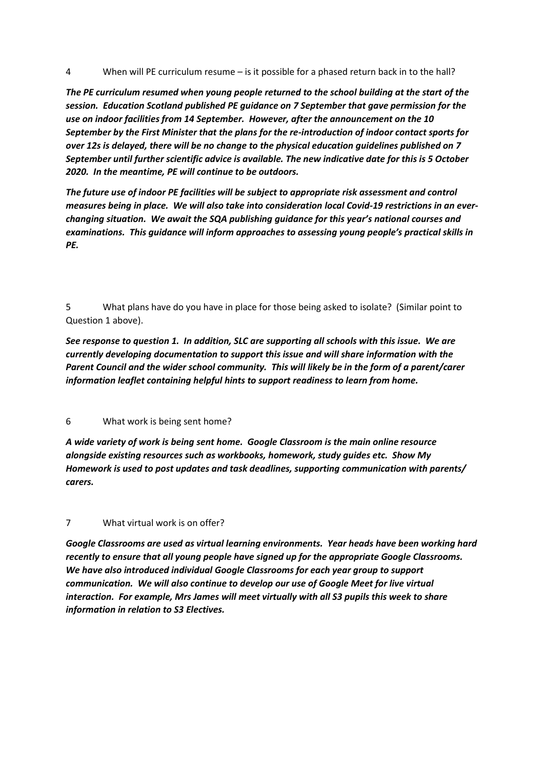4 When will PE curriculum resume – is it possible for a phased return back in to the hall?

*The PE curriculum resumed when young people returned to the school building at the start of the session. Education Scotland published PE guidance on 7 September that gave permission for the use on indoor facilities from 14 September. However, after the announcement on the 10 September by the First Minister that the plans for the re-introduction of indoor contact sports for over 12s is delayed, there will be no change to the physical education guidelines published on 7 September until further scientific advice is available. The new indicative date for this is 5 October 2020. In the meantime, PE will continue to be outdoors.*

*The future use of indoor PE facilities will be subject to appropriate risk assessment and control measures being in place. We will also take into consideration local Covid-19 restrictions in an everchanging situation. We await the SQA publishing guidance for this year's national courses and examinations. This guidance will inform approaches to assessing young people's practical skills in PE.*

5 What plans have do you have in place for those being asked to isolate? (Similar point to Question 1 above).

*See response to question 1. In addition, SLC are supporting all schools with this issue. We are currently developing documentation to support this issue and will share information with the Parent Council and the wider school community. This will likely be in the form of a parent/carer information leaflet containing helpful hints to support readiness to learn from home.*

## 6 What work is being sent home?

*A wide variety of work is being sent home. Google Classroom is the main online resource alongside existing resources such as workbooks, homework, study guides etc. Show My Homework is used to post updates and task deadlines, supporting communication with parents/ carers.*

7 What virtual work is on offer?

*Google Classrooms are used as virtual learning environments. Year heads have been working hard recently to ensure that all young people have signed up for the appropriate Google Classrooms. We have also introduced individual Google Classrooms for each year group to support communication. We will also continue to develop our use of Google Meet for live virtual interaction. For example, Mrs James will meet virtually with all S3 pupils this week to share information in relation to S3 Electives.*